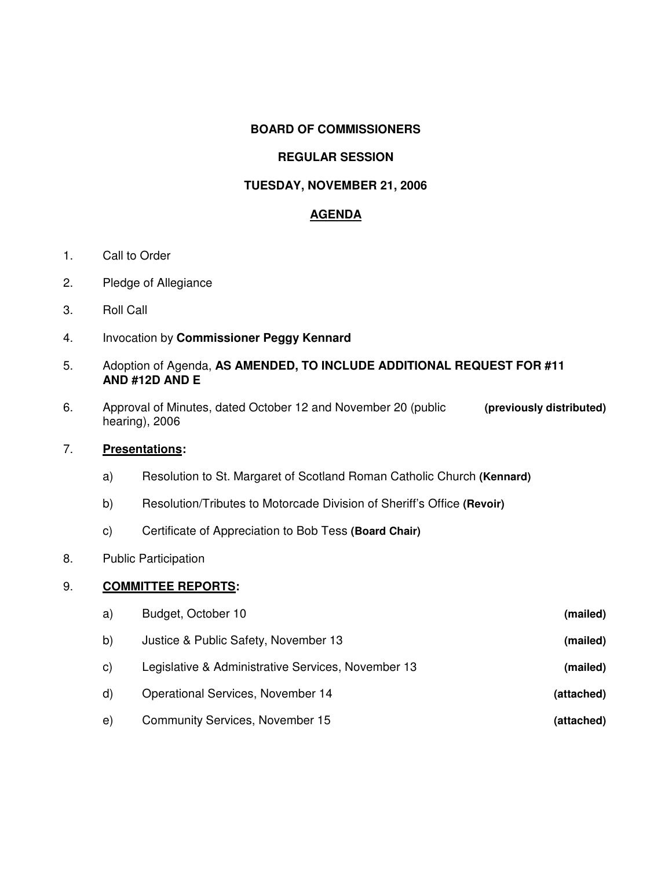## **BOARD OF COMMISSIONERS**

# **REGULAR SESSION**

## **TUESDAY, NOVEMBER 21, 2006**

## **AGENDA**

- 1. Call to Order
- 2. Pledge of Allegiance
- 3. Roll Call
- 4. Invocation by **Commissioner Peggy Kennard**
- 5. Adoption of Agenda, **AS AMENDED, TO INCLUDE ADDITIONAL REQUEST FOR #11 AND #12D AND E**
- 6. Approval of Minutes, dated October 12 and November 20 (public **(previously distributed)** hearing), 2006

## 7. **Presentations:**

- a) Resolution to St. Margaret of Scotland Roman Catholic Church **(Kennard)**
- b) Resolution/Tributes to Motorcade Division of Sheriff's Office **(Revoir)**
- c) Certificate of Appreciation to Bob Tess **(Board Chair)**
- 8. Public Participation

## 9. **COMMITTEE REPORTS:**

| a)           | Budget, October 10                                 | (mailed)   |
|--------------|----------------------------------------------------|------------|
| b)           | Justice & Public Safety, November 13               | (mailed)   |
| $\mathsf{C}$ | Legislative & Administrative Services, November 13 | (mailed)   |
| $\mathsf{d}$ | Operational Services, November 14                  | (attached) |
| e)           | Community Services, November 15                    | (attached) |
|              |                                                    |            |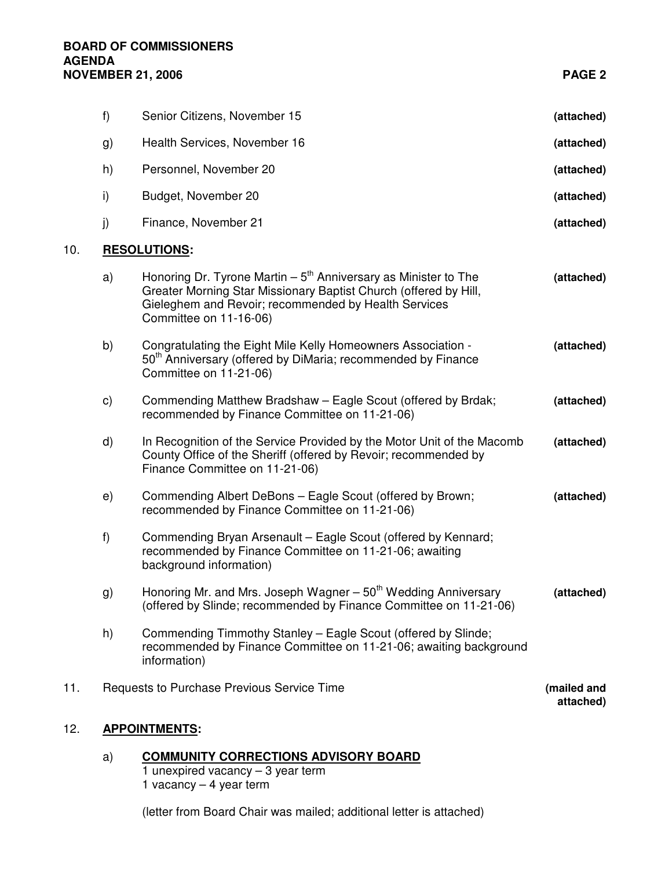#### **BOARD OF COMMISSIONERS AGENDA NOVEMBER 21, 2006 PAGE 2**

10. **RESOLUTIONS:**

|     | f)            | Senior Citizens, November 15                                                                                                                                                                                           | (attached)               |
|-----|---------------|------------------------------------------------------------------------------------------------------------------------------------------------------------------------------------------------------------------------|--------------------------|
|     | g)            | Health Services, November 16                                                                                                                                                                                           | (attached)               |
|     | h)            | Personnel, November 20                                                                                                                                                                                                 | (attached)               |
|     | i)            | Budget, November 20                                                                                                                                                                                                    | (attached)               |
|     | j)            | Finance, November 21                                                                                                                                                                                                   | (attached)               |
| 10. |               | <b>RESOLUTIONS:</b>                                                                                                                                                                                                    |                          |
|     | a)            | Honoring Dr. Tyrone Martin $-5th$ Anniversary as Minister to The<br>Greater Morning Star Missionary Baptist Church (offered by Hill,<br>Gieleghem and Revoir; recommended by Health Services<br>Committee on 11-16-06) | (attached)               |
|     | b)            | Congratulating the Eight Mile Kelly Homeowners Association -<br>50 <sup>th</sup> Anniversary (offered by DiMaria; recommended by Finance<br>Committee on 11-21-06)                                                     | (attached)               |
|     | $\mathsf{c})$ | Commending Matthew Bradshaw - Eagle Scout (offered by Brdak;<br>recommended by Finance Committee on 11-21-06)                                                                                                          | (attached)               |
|     | d)            | In Recognition of the Service Provided by the Motor Unit of the Macomb<br>County Office of the Sheriff (offered by Revoir; recommended by<br>Finance Committee on 11-21-06)                                            | (attached)               |
|     | e)            | Commending Albert DeBons - Eagle Scout (offered by Brown;<br>recommended by Finance Committee on 11-21-06)                                                                                                             | (attached)               |
|     | f)            | Commending Bryan Arsenault - Eagle Scout (offered by Kennard;<br>recommended by Finance Committee on 11-21-06; awaiting<br>background information)                                                                     |                          |
|     | g)            | Honoring Mr. and Mrs. Joseph Wagner - 50 <sup>th</sup> Wedding Anniversary<br>(offered by Slinde; recommended by Finance Committee on 11-21-06)                                                                        | (attached)               |
|     | h)            | Commending Timmothy Stanley - Eagle Scout (offered by Slinde;<br>recommended by Finance Committee on 11-21-06; awaiting background<br>information)                                                                     |                          |
| 11. |               | Requests to Purchase Previous Service Time                                                                                                                                                                             | (mailed and<br>attached) |
|     |               |                                                                                                                                                                                                                        |                          |

# 12. **APPOINTMENTS:**

a) **COMMUNITY CORRECTIONS ADVISORY BOARD**

1 unexpired vacancy – 3 year term 1 vacancy – 4 year term

(letter from Board Chair was mailed; additional letter is attached)